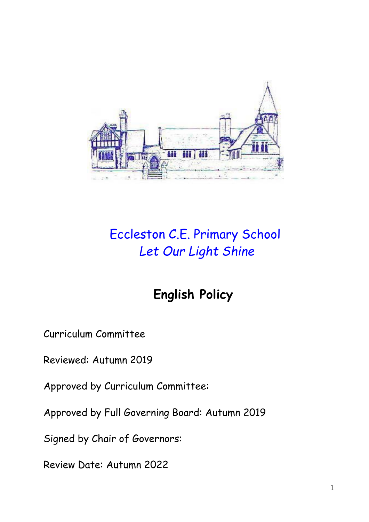

# Eccleston C.E. Primary School *Let Our Light Shine*

## **English Policy**

Curriculum Committee

Reviewed: Autumn 2019

Approved by Curriculum Committee:

Approved by Full Governing Board: Autumn 2019

Signed by Chair of Governors:

Review Date: Autumn 2022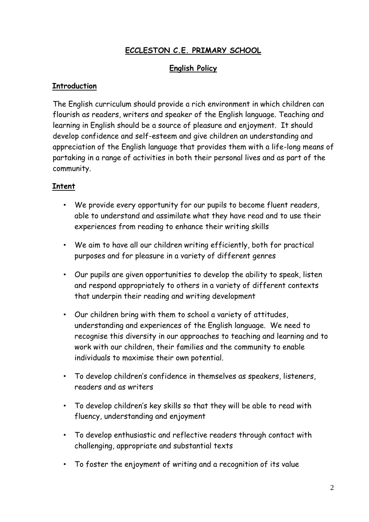## **ECCLESTON C.E. PRIMARY SCHOOL**

#### **English Policy**

#### **Introduction**

The English curriculum should provide a rich environment in which children can flourish as readers, writers and speaker of the English language. Teaching and learning in English should be a source of pleasure and enjoyment. It should develop confidence and self-esteem and give children an understanding and appreciation of the English language that provides them with a life-long means of partaking in a range of activities in both their personal lives and as part of the community.

#### **Intent**

- We provide every opportunity for our pupils to become fluent readers, able to understand and assimilate what they have read and to use their experiences from reading to enhance their writing skills
- We aim to have all our children writing efficiently, both for practical purposes and for pleasure in a variety of different genres
- Our pupils are given opportunities to develop the ability to speak, listen and respond appropriately to others in a variety of different contexts that underpin their reading and writing development
- Our children bring with them to school a variety of attitudes, understanding and experiences of the English language. We need to recognise this diversity in our approaches to teaching and learning and to work with our children, their families and the community to enable individuals to maximise their own potential.
- To develop children's confidence in themselves as speakers, listeners, readers and as writers
- To develop children's key skills so that they will be able to read with fluency, understanding and enjoyment
- To develop enthusiastic and reflective readers through contact with challenging, appropriate and substantial texts
- To foster the enjoyment of writing and a recognition of its value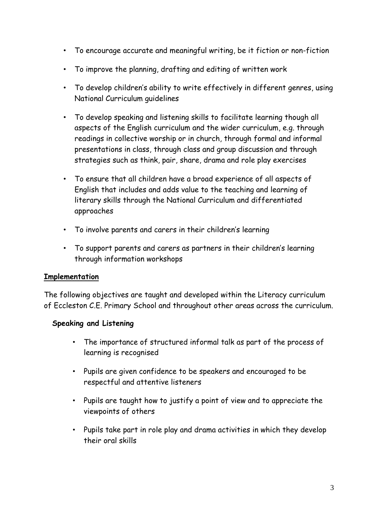- To encourage accurate and meaningful writing, be it fiction or non-fiction
- To improve the planning, drafting and editing of written work
- To develop children's ability to write effectively in different genres, using National Curriculum guidelines
- To develop speaking and listening skills to facilitate learning though all aspects of the English curriculum and the wider curriculum, e.g. through readings in collective worship or in church, through formal and informal presentations in class, through class and group discussion and through strategies such as think, pair, share, drama and role play exercises
- To ensure that all children have a broad experience of all aspects of English that includes and adds value to the teaching and learning of literary skills through the National Curriculum and differentiated approaches
- To involve parents and carers in their children's learning
- To support parents and carers as partners in their children's learning through information workshops

#### **Implementation**

The following objectives are taught and developed within the Literacy curriculum of Eccleston C.E. Primary School and throughout other areas across the curriculum.

#### **Speaking and Listening**

- The importance of structured informal talk as part of the process of learning is recognised
- Pupils are given confidence to be speakers and encouraged to be respectful and attentive listeners
- Pupils are taught how to justify a point of view and to appreciate the viewpoints of others
- Pupils take part in role play and drama activities in which they develop their oral skills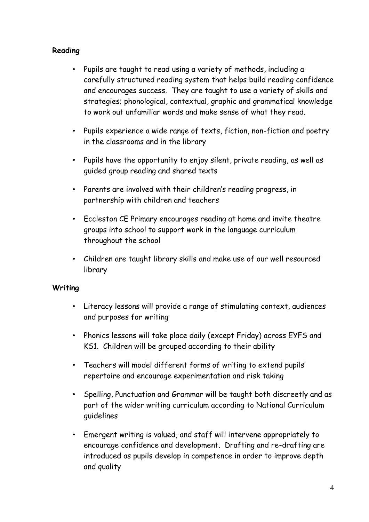#### **Reading**

- Pupils are taught to read using a variety of methods, including a carefully structured reading system that helps build reading confidence and encourages success. They are taught to use a variety of skills and strategies; phonological, contextual, graphic and grammatical knowledge to work out unfamiliar words and make sense of what they read.
- Pupils experience a wide range of texts, fiction, non-fiction and poetry in the classrooms and in the library
- Pupils have the opportunity to enjoy silent, private reading, as well as guided group reading and shared texts
- Parents are involved with their children's reading progress, in partnership with children and teachers
- Eccleston CE Primary encourages reading at home and invite theatre groups into school to support work in the language curriculum throughout the school
- Children are taught library skills and make use of our well resourced library

#### **Writing**

- Literacy lessons will provide a range of stimulating context, audiences and purposes for writing
- Phonics lessons will take place daily (except Friday) across EYFS and KS1. Children will be grouped according to their ability
- Teachers will model different forms of writing to extend pupils' repertoire and encourage experimentation and risk taking
- Spelling, Punctuation and Grammar will be taught both discreetly and as part of the wider writing curriculum according to National Curriculum guidelines
- Emergent writing is valued, and staff will intervene appropriately to encourage confidence and development. Drafting and re-drafting are introduced as pupils develop in competence in order to improve depth and quality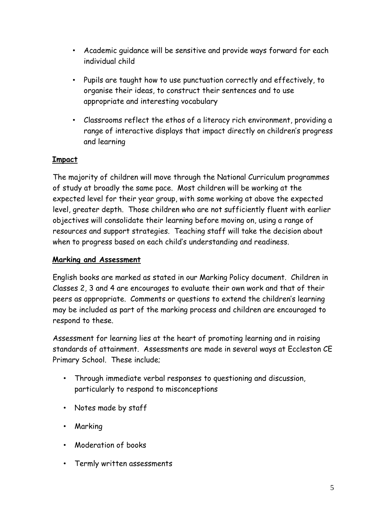- Academic guidance will be sensitive and provide ways forward for each individual child
- Pupils are taught how to use punctuation correctly and effectively, to organise their ideas, to construct their sentences and to use appropriate and interesting vocabulary
- Classrooms reflect the ethos of a literacy rich environment, providing a range of interactive displays that impact directly on children's progress and learning

### **Impact**

The majority of children will move through the National Curriculum programmes of study at broadly the same pace. Most children will be working at the expected level for their year group, with some working at above the expected level, greater depth. Those children who are not sufficiently fluent with earlier objectives will consolidate their learning before moving on, using a range of resources and support strategies. Teaching staff will take the decision about when to progress based on each child's understanding and readiness.

#### **Marking and Assessment**

English books are marked as stated in our Marking Policy document. Children in Classes 2, 3 and 4 are encourages to evaluate their own work and that of their peers as appropriate. Comments or questions to extend the children's learning may be included as part of the marking process and children are encouraged to respond to these.

Assessment for learning lies at the heart of promoting learning and in raising standards of attainment. Assessments are made in several ways at Eccleston CE Primary School. These include;

- Through immediate verbal responses to questioning and discussion, particularly to respond to misconceptions
- Notes made by staff
- Marking
- Moderation of books
- Termly written assessments